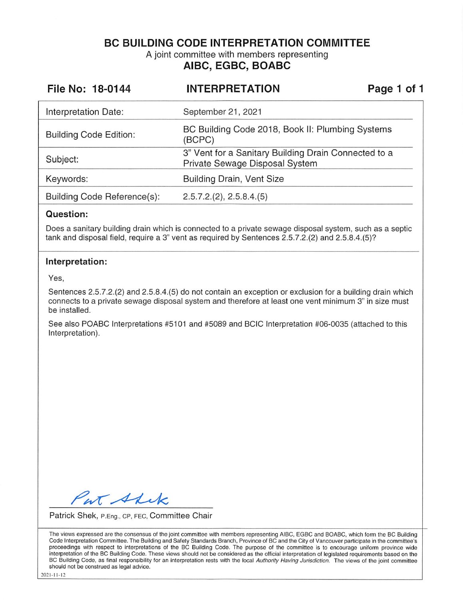**BC BUILDING CODE INTERPRETATION COMMITTEE** 

A joint committee with members representing **AIBC, EGBC, BOABC** 

| File No: 18-0144              | <b>INTERPRETATION</b>                                                                  | Page 1 of 1 |  |
|-------------------------------|----------------------------------------------------------------------------------------|-------------|--|
| Interpretation Date:          | September 21, 2021                                                                     |             |  |
| <b>Building Code Edition:</b> | BC Building Code 2018, Book II: Plumbing Systems<br>(BCPC)                             |             |  |
| Subject:                      | 3" Vent for a Sanitary Building Drain Connected to a<br>Private Sewage Disposal System |             |  |
| Keywords:                     | <b>Building Drain, Vent Size</b>                                                       |             |  |
| Building Code Reference(s):   | 2.5.7.2.(2), 2.5.8.4.(5)                                                               |             |  |

#### **Question:**

Does a sanitary building drain which is connected to a private sewage disposal system, such as a septic tank and disposal field, require a 3" vent as required by Sentences 2.5.7.2.(2) and 2.5.8.4.(5)?

#### **Interpretation:**

Yes,

Sentences 2.5.7.2.(2) and 2.5.8.4.(5) do not contain an exception or exclusion for a building drain which connects to a private sewage disposal system and therefore at least one vent minimum 3" in size must be installed.

See also POABC Interpretations #5101 and #5089 and BCIC Interpretation #06-0035 (attached to this Interpretation).

at Shik

Patrick Shek, P.Eng., CP, FEC, Committee Chair

The views expressed are the consensus of the joint committee with members representing AIBC, EGBC and BOABC, which form the BC Building Code Interpretation Committee. The Building and Safety Standards Branch, Province of BC and the City of Vancouver participate in the committee·s proceedings with respect to interpretations of the BC Building Code. The purpose of the committee is to encourage uniform province wide interpretation of the BC Building Code. These views should not be considered as the official interpretation of legislated requirements based on the BC Building Code, as final responsibility for an interpretation rests with the local Authority Having Jurisdiction. The views of the joint committee should not be construed as legal advice.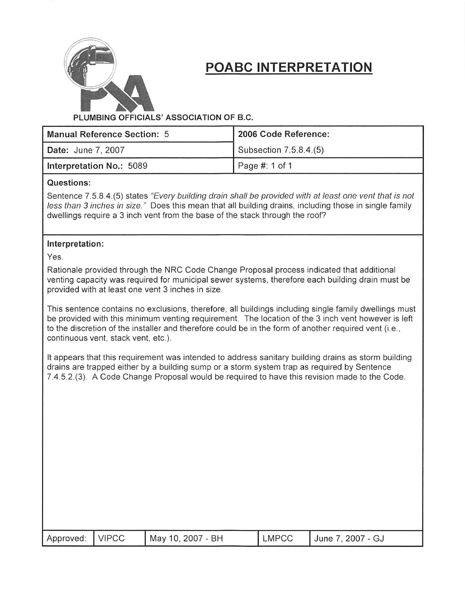

## **POABC INTERPRETATION**

#### **PLUMBING OFFICIALS' ASSOCIATION OF B.C.**

| Manual Reference Section: 5 | 2006 Code Reference:   |  |  |
|-----------------------------|------------------------|--|--|
| Date: June 7, 2007          | Subsection 7.5.8.4.(5) |  |  |
| Interpretation No.: 5089    | Page #: 1 of 1         |  |  |

#### **Questions:**

Sentence 7.5.8.4.(5) states "Every building drain shall be provided with at least one vent that is not less than 3 inches in size." Does this mean that all building drains, including those in single family dwellings require a 3 inch vent from the base of the stack through the roof?

#### **Interpretation:**

Yes.

Rationale provided through the NRC Code Change Proposal process indicated that additional venting capacity was required for municipal sewer systems, therefore each building drain must be provided with at least one vent 3 inches in size.

This sentence contains no exclusions, therefore, all buildings including single family dwellings must be provided with this minimum venting requirement. The location of the 3 inch vent however is left to the discretion of the installer and therefore could be in the form of another required vent (i.e., continuous vent, stack vent, etc.).

It appears that this requirement was intended to address sanitary building drains as storm building drains are trapped either by a building sump or a storm system trap as required by Sentence 7.4.5.2.(3). A Code Change Proposal would be required to have this revision made to the Code.

| Approved:   VIPCC | May 10, 2007 - BH | LMPCC | June 7, 2007 - GJ |
|-------------------|-------------------|-------|-------------------|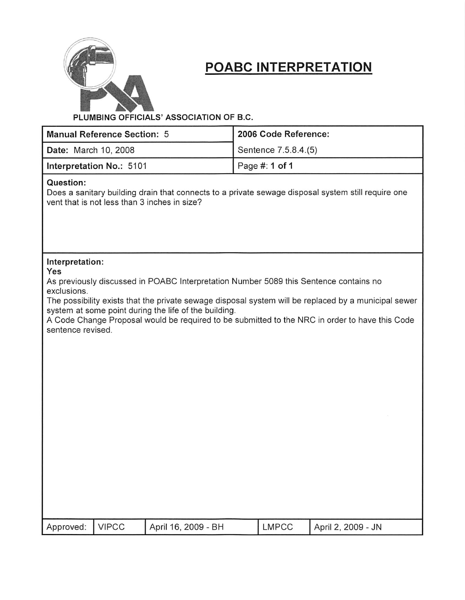

# **POABC INTERPRETATION**

**PLUMBING OFFICIALS' ASSOCIATION OF B.C.** 

|                                                                                                                                                                                                                                                                                                                                                                                                                        | <b>Manual Reference Section: 5</b> |                                              |                | 2006 Code Reference: |                                                                                                    |
|------------------------------------------------------------------------------------------------------------------------------------------------------------------------------------------------------------------------------------------------------------------------------------------------------------------------------------------------------------------------------------------------------------------------|------------------------------------|----------------------------------------------|----------------|----------------------|----------------------------------------------------------------------------------------------------|
| Date: March 10, 2008                                                                                                                                                                                                                                                                                                                                                                                                   |                                    |                                              |                | Sentence 7.5.8.4.(5) |                                                                                                    |
|                                                                                                                                                                                                                                                                                                                                                                                                                        | Interpretation No.: 5101           |                                              | Page #: 1 of 1 |                      |                                                                                                    |
| Question:                                                                                                                                                                                                                                                                                                                                                                                                              |                                    | vent that is not less than 3 inches in size? |                |                      | Does a sanitary building drain that connects to a private sewage disposal system still require one |
| Interpretation:<br>Yes<br>As previously discussed in POABC Interpretation Number 5089 this Sentence contains no<br>exclusions.<br>The possibility exists that the private sewage disposal system will be replaced by a municipal sewer<br>system at some point during the life of the building.<br>A Code Change Proposal would be required to be submitted to the NRC in order to have this Code<br>sentence revised. |                                    |                                              |                |                      |                                                                                                    |
| Approved:                                                                                                                                                                                                                                                                                                                                                                                                              | <b>VIPCC</b>                       | April 16, 2009 - BH                          |                | <b>LMPCC</b>         | April 2, 2009 - JN                                                                                 |